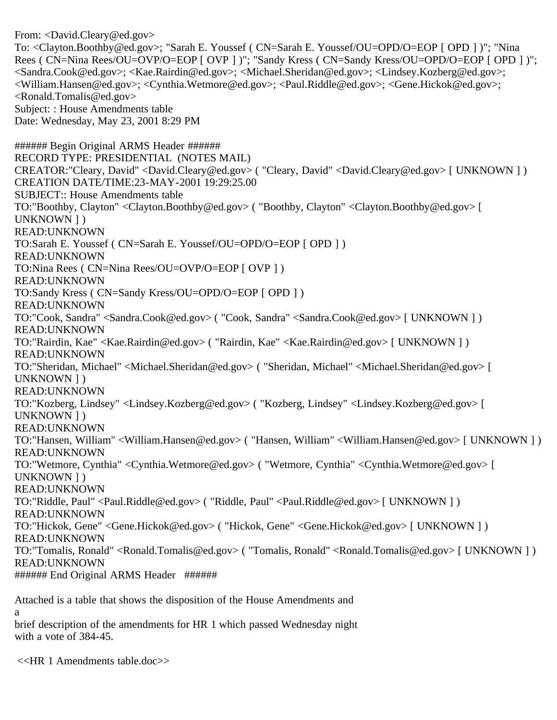From: <David.Cleary@ed.gov> To: <Clayton.Boothby@ed.gov>; "Sarah E. Youssef ( CN=Sarah E. Youssef/OU=OPD/O=EOP [ OPD ] )"; "Nina Rees ( CN=Nina Rees/OU=OVP/O=EOP [ OVP ] )"; "Sandy Kress ( CN=Sandy Kress/OU=OPD/O=EOP [ OPD ] )"; <Sandra.Cook@ed.gov>; <Kae.Rairdin@ed.gov>; <Michael.Sheridan@ed.gov>; <Lindsey.Kozberg@ed.gov>; <William.Hansen@ed.gov>; <Cynthia.Wetmore@ed.gov>; <Paul.Riddle@ed.gov>; <Gene.Hickok@ed.gov>; <Ronald.Tomalis@ed.gov> Subject: : House Amendments table Date: Wednesday, May 23, 2001 8:29 PM ###### Begin Original ARMS Header ###### RECORD TYPE: PRESIDENTIAL (NOTES MAIL) CREATOR:"Cleary, David" <David.Cleary@ed.gov> ( "Cleary, David" <David.Cleary@ed.gov> [ UNKNOWN ] ) CREATION DATE/TIME:23-MAY-2001 19:29:25.00 SUBJECT:: House Amendments table TO:"Boothby, Clayton" <Clayton.Boothby@ed.gov> ( "Boothby, Clayton" <Clayton.Boothby@ed.gov> [ UNKNOWN ] ) READ:UNKNOWN TO:Sarah E. Youssef ( CN=Sarah E. Youssef/OU=OPD/O=EOP [ OPD ] ) READ:UNKNOWN TO:Nina Rees ( CN=Nina Rees/OU=OVP/O=EOP [ OVP ] ) READ:UNKNOWN TO:Sandy Kress ( CN=Sandy Kress/OU=OPD/O=EOP [ OPD ] ) READ:UNKNOWN TO:"Cook, Sandra" <Sandra.Cook@ed.gov> ( "Cook, Sandra" <Sandra.Cook@ed.gov> [ UNKNOWN ] ) READ:UNKNOWN TO:"Rairdin, Kae" <Kae.Rairdin@ed.gov> ( "Rairdin, Kae" <Kae.Rairdin@ed.gov> [ UNKNOWN ] ) READ:UNKNOWN TO:"Sheridan, Michael" <Michael.Sheridan@ed.gov> ( "Sheridan, Michael" <Michael.Sheridan@ed.gov> [ UNKNOWN ] ) READ:UNKNOWN TO:"Kozberg, Lindsey" <Lindsey.Kozberg@ed.gov> ( "Kozberg, Lindsey" <Lindsey.Kozberg@ed.gov> [ UNKNOWN ] ) READ:UNKNOWN TO:"Hansen, William" <William.Hansen@ed.gov> ( "Hansen, William" <William.Hansen@ed.gov> [ UNKNOWN ] ) READ:UNKNOWN TO:"Wetmore, Cynthia" <Cynthia.Wetmore@ed.gov> ( "Wetmore, Cynthia" <Cynthia.Wetmore@ed.gov> [ UNKNOWN ] ) READ:UNKNOWN TO:"Riddle, Paul" <Paul.Riddle@ed.gov> ( "Riddle, Paul" <Paul.Riddle@ed.gov> [ UNKNOWN ] ) READ:UNKNOWN TO:"Hickok, Gene" <Gene.Hickok@ed.gov> ( "Hickok, Gene" <Gene.Hickok@ed.gov> [ UNKNOWN ] ) READ:UNKNOWN TO:"Tomalis, Ronald" <Ronald.Tomalis@ed.gov> ( "Tomalis, Ronald" <Ronald.Tomalis@ed.gov> [ UNKNOWN ] ) READ:UNKNOWN ###### End Original ARMS Header ######

Attached is a table that shows the disposition of the House Amendments and a

brief description of the amendments for HR 1 which passed Wednesday night with a vote of 384-45.

<<HR 1 Amendments table.doc>>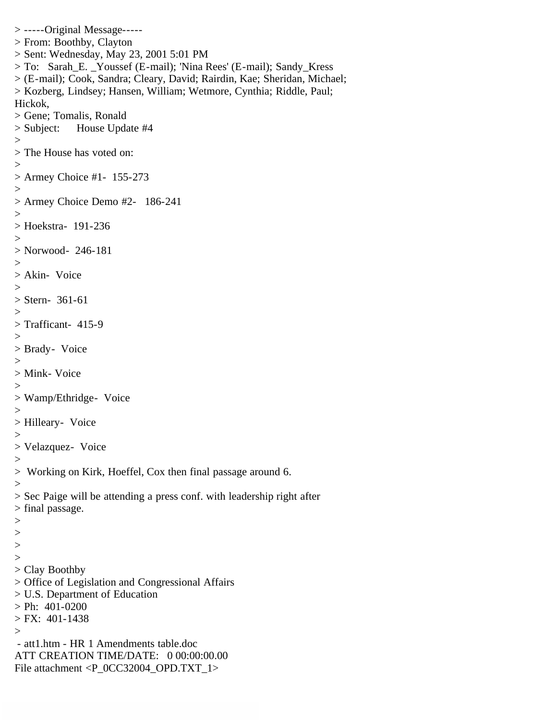```
> -----Original Message-----
> From: Boothby, Clayton
> Sent: Wednesday, May 23, 2001 5:01 PM
> To: Sarah_E. _Youssef (E-mail); 'Nina Rees' (E-mail); Sandy_Kress
> (E-mail); Cook, Sandra; Cleary, David; Rairdin, Kae; Sheridan, Michael;
> Kozberg, Lindsey; Hansen, William; Wetmore, Cynthia; Riddle, Paul; 
Hickok,
> Gene; Tomalis, Ronald
> Subject: House Update #4
>> The House has voted on:
>> Armey Choice #1- 155-273
>> Armey Choice Demo #2- 186-241
>> Hoekstra- 191-236
>> Norwood- 246-181
>> Akin- Voice
>> Stern- 361-61
>
> Trafficant- 415-9
>> Brady- Voice
>> Mink- Voice
>> Wamp/Ethridge- Voice
>> Hilleary- Voice
>> Velazquez- Voice
>> Working on Kirk, Hoeffel, Cox then final passage around 6.
>> Sec Paige will be attending a press conf. with leadership right after
> final passage.
>\,>>>> Clay Boothby
> Office of Legislation and Congressional Affairs
> U.S. Department of Education
> Ph: 401-0200
> FX: 401-1438
> - att1.htm - HR 1 Amendments table.doc
ATT CREATION TIME/DATE: 0 00:00:00.00
File attachment <P_0CC32004_OPD.TXT_1>
```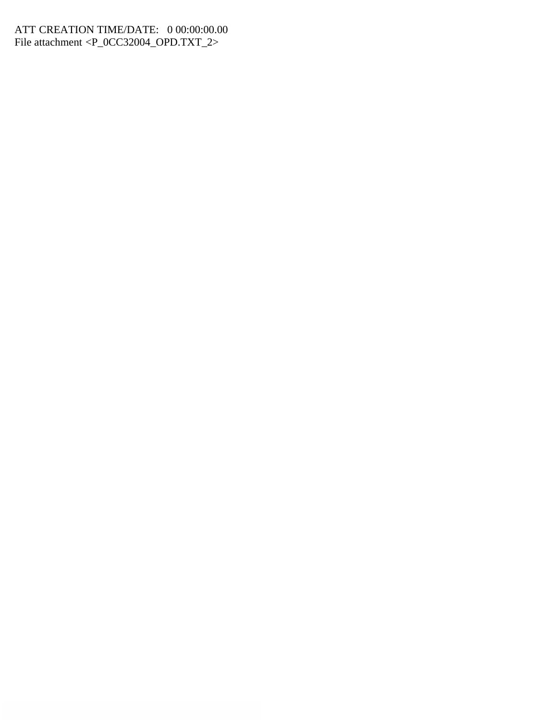## ATT CREATION TIME/DATE: 0 00:00:00.00 File attachment <P\_0CC32004\_OPD.TXT\_2>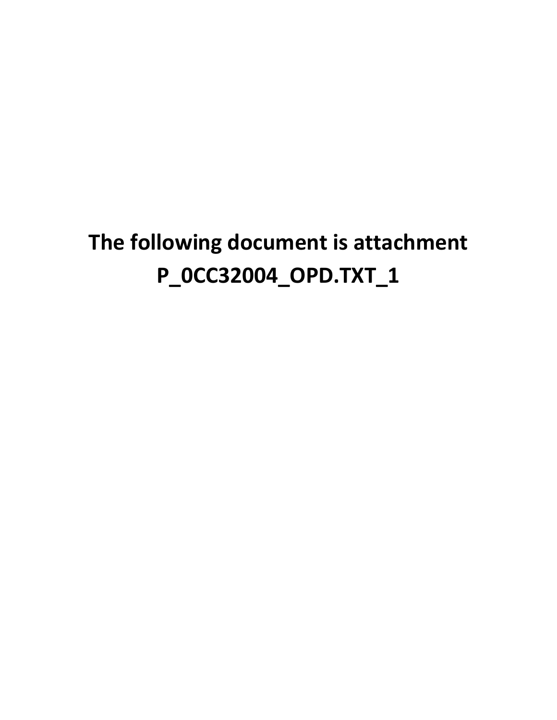## **The following document is attachment P\_0CC32004\_OPD.TXT\_1**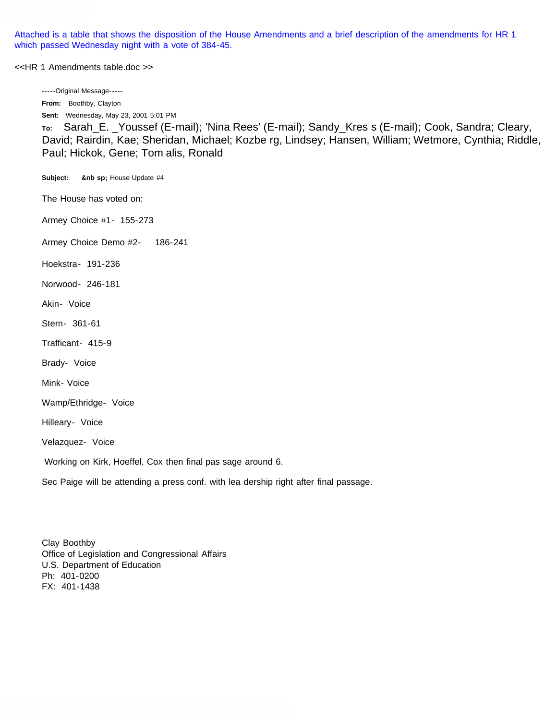Attached is a table that shows the disposition of the House Amendments and a brief description of the amendments for HR 1 which passed Wednesday night with a vote of 384-45.

<<HR 1 Amendments table.doc >>

-----Original Message-----

**From:** Boothby, Clayton **Sent:** Wednesday, May 23, 2001 5:01 PM

**To:** Sarah\_E. \_Youssef (E-mail); 'Nina Rees' (E-mail); Sandy\_Kres s (E-mail); Cook, Sandra; Cleary, David; Rairdin, Kae; Sheridan, Michael; Kozbe rg, Lindsey; Hansen, William; Wetmore, Cynthia; Riddle, Paul; Hickok, Gene; Tom alis, Ronald

**Subject: &nb sp;** House Update #4

The House has voted on:

Armey Choice #1- 155-273

Armey Choice Demo #2- 186-241

Hoekstra- 191-236

Norwood- 246-181

Akin- Voice

Stern- 361-61

Trafficant- 415-9

Brady- Voice

Mink- Voice

Wamp/Ethridge- Voice

Hilleary- Voice

Velazquez- Voice

Working on Kirk, Hoeffel, Cox then final pas sage around 6.

Sec Paige will be attending a press conf. with lea dership right after final passage.

Clay Boothby Office of Legislation and Congressional Affairs U.S. Department of Education Ph: 401-0200 FX: 401-1438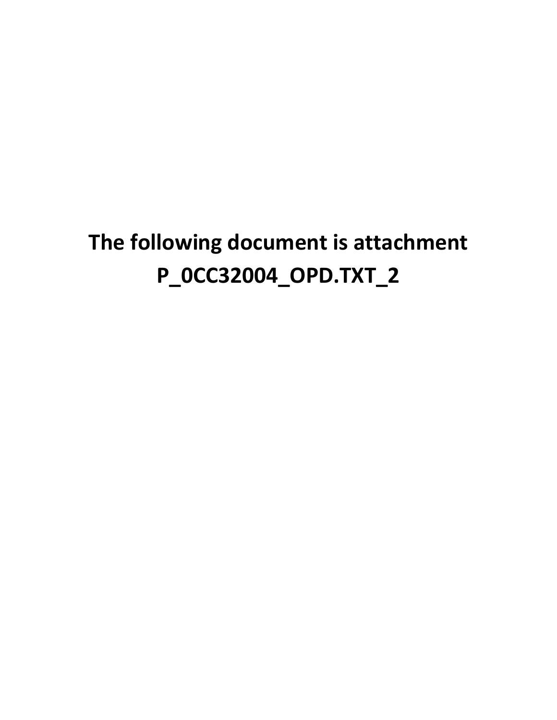## **The following document is attachment P\_0CC32004\_OPD.TXT\_2**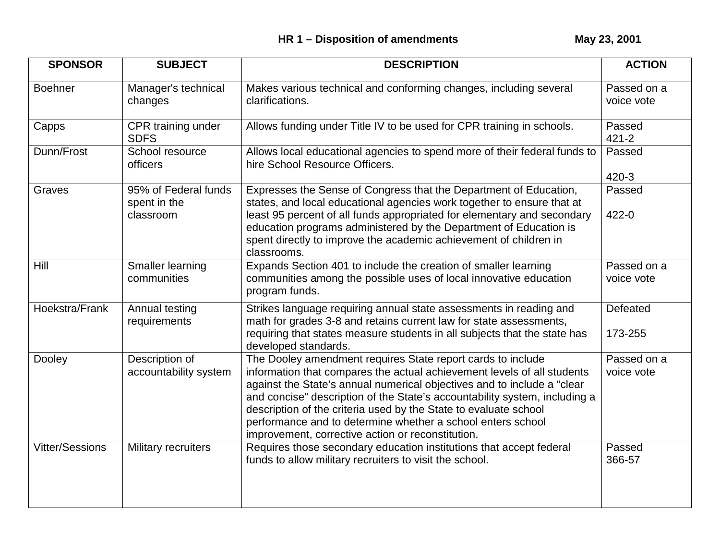| <b>SPONSOR</b>         | <b>SUBJECT</b>                                    | <b>DESCRIPTION</b>                                                                                                                                                                                                                                                                                                                                                                                                                                                                      | <b>ACTION</b>             |
|------------------------|---------------------------------------------------|-----------------------------------------------------------------------------------------------------------------------------------------------------------------------------------------------------------------------------------------------------------------------------------------------------------------------------------------------------------------------------------------------------------------------------------------------------------------------------------------|---------------------------|
| <b>Boehner</b>         | Manager's technical<br>changes                    | Makes various technical and conforming changes, including several<br>clarifications.                                                                                                                                                                                                                                                                                                                                                                                                    | Passed on a<br>voice vote |
| Capps                  | CPR training under<br><b>SDFS</b>                 | Allows funding under Title IV to be used for CPR training in schools.                                                                                                                                                                                                                                                                                                                                                                                                                   | Passed<br>$421 - 2$       |
| Dunn/Frost             | School resource<br>officers                       | Allows local educational agencies to spend more of their federal funds to<br>hire School Resource Officers.                                                                                                                                                                                                                                                                                                                                                                             | Passed<br>420-3           |
| Graves                 | 95% of Federal funds<br>spent in the<br>classroom | Expresses the Sense of Congress that the Department of Education,<br>states, and local educational agencies work together to ensure that at<br>least 95 percent of all funds appropriated for elementary and secondary<br>education programs administered by the Department of Education is<br>spent directly to improve the academic achievement of children in<br>classrooms.                                                                                                         | Passed<br>422-0           |
| Hill                   | Smaller learning<br>communities                   | Expands Section 401 to include the creation of smaller learning<br>communities among the possible uses of local innovative education<br>program funds.                                                                                                                                                                                                                                                                                                                                  | Passed on a<br>voice vote |
| Hoekstra/Frank         | Annual testing<br>requirements                    | Strikes language requiring annual state assessments in reading and<br>math for grades 3-8 and retains current law for state assessments,<br>requiring that states measure students in all subjects that the state has<br>developed standards.                                                                                                                                                                                                                                           | Defeated<br>173-255       |
| Dooley                 | Description of<br>accountability system           | The Dooley amendment requires State report cards to include<br>information that compares the actual achievement levels of all students<br>against the State's annual numerical objectives and to include a "clear<br>and concise" description of the State's accountability system, including a<br>description of the criteria used by the State to evaluate school<br>performance and to determine whether a school enters school<br>improvement, corrective action or reconstitution. | Passed on a<br>voice vote |
| <b>Vitter/Sessions</b> | Military recruiters                               | Requires those secondary education institutions that accept federal<br>funds to allow military recruiters to visit the school.                                                                                                                                                                                                                                                                                                                                                          | Passed<br>366-57          |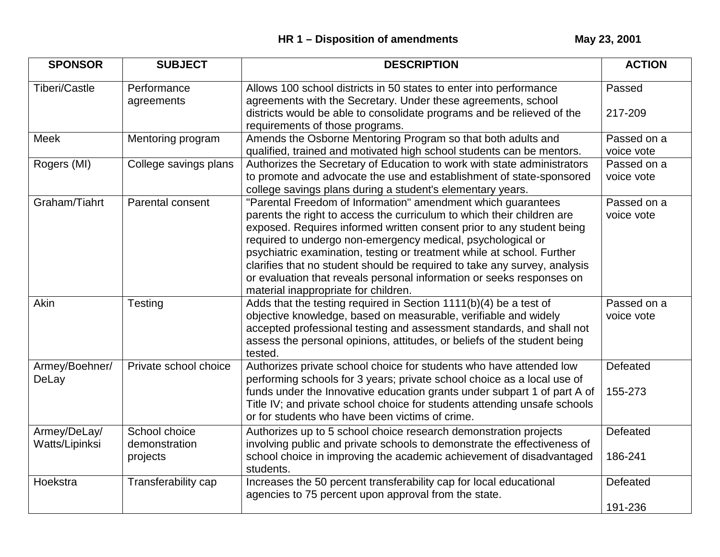| <b>SPONSOR</b>                 | <b>SUBJECT</b>                             | <b>DESCRIPTION</b>                                                                                                                                                                                                                                                                                                                                                                                                                                                                                                                                     | <b>ACTION</b>             |
|--------------------------------|--------------------------------------------|--------------------------------------------------------------------------------------------------------------------------------------------------------------------------------------------------------------------------------------------------------------------------------------------------------------------------------------------------------------------------------------------------------------------------------------------------------------------------------------------------------------------------------------------------------|---------------------------|
| <b>Tiberi/Castle</b>           | Performance<br>agreements                  | Allows 100 school districts in 50 states to enter into performance<br>agreements with the Secretary. Under these agreements, school                                                                                                                                                                                                                                                                                                                                                                                                                    | Passed                    |
|                                |                                            | districts would be able to consolidate programs and be relieved of the<br>requirements of those programs.                                                                                                                                                                                                                                                                                                                                                                                                                                              | 217-209                   |
| Meek                           | Mentoring program                          | Amends the Osborne Mentoring Program so that both adults and<br>qualified, trained and motivated high school students can be mentors.                                                                                                                                                                                                                                                                                                                                                                                                                  | Passed on a<br>voice vote |
| Rogers (MI)                    | College savings plans                      | Authorizes the Secretary of Education to work with state administrators<br>to promote and advocate the use and establishment of state-sponsored<br>college savings plans during a student's elementary years.                                                                                                                                                                                                                                                                                                                                          | Passed on a<br>voice vote |
| Graham/Tiahrt                  | Parental consent                           | "Parental Freedom of Information" amendment which guarantees<br>parents the right to access the curriculum to which their children are<br>exposed. Requires informed written consent prior to any student being<br>required to undergo non-emergency medical, psychological or<br>psychiatric examination, testing or treatment while at school. Further<br>clarifies that no student should be required to take any survey, analysis<br>or evaluation that reveals personal information or seeks responses on<br>material inappropriate for children. | Passed on a<br>voice vote |
| Akin                           | Testing                                    | Adds that the testing required in Section 1111(b)(4) be a test of<br>objective knowledge, based on measurable, verifiable and widely<br>accepted professional testing and assessment standards, and shall not<br>assess the personal opinions, attitudes, or beliefs of the student being<br>tested.                                                                                                                                                                                                                                                   | Passed on a<br>voice vote |
| Armey/Boehner/<br>DeLay        | Private school choice                      | Authorizes private school choice for students who have attended low<br>performing schools for 3 years; private school choice as a local use of<br>funds under the Innovative education grants under subpart 1 of part A of<br>Title IV; and private school choice for students attending unsafe schools<br>or for students who have been victims of crime.                                                                                                                                                                                             | Defeated<br>155-273       |
| Armey/DeLay/<br>Watts/Lipinksi | School choice<br>demonstration<br>projects | Authorizes up to 5 school choice research demonstration projects<br>involving public and private schools to demonstrate the effectiveness of<br>school choice in improving the academic achievement of disadvantaged<br>students.                                                                                                                                                                                                                                                                                                                      | Defeated<br>186-241       |
| Hoekstra                       | Transferability cap                        | Increases the 50 percent transferability cap for local educational<br>agencies to 75 percent upon approval from the state.                                                                                                                                                                                                                                                                                                                                                                                                                             | Defeated<br>191-236       |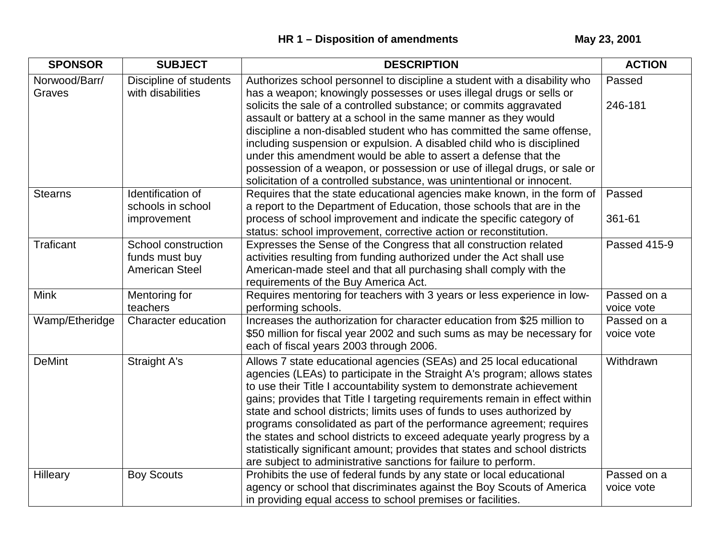| <b>SPONSOR</b>          | <b>SUBJECT</b>                                                 | <b>DESCRIPTION</b>                                                                                                                                                                                                                                                                                                                                                                                                                                                                                                                                                                                                                                                                      | <b>ACTION</b>             |
|-------------------------|----------------------------------------------------------------|-----------------------------------------------------------------------------------------------------------------------------------------------------------------------------------------------------------------------------------------------------------------------------------------------------------------------------------------------------------------------------------------------------------------------------------------------------------------------------------------------------------------------------------------------------------------------------------------------------------------------------------------------------------------------------------------|---------------------------|
| Norwood/Barr/<br>Graves | Discipline of students<br>with disabilities                    | Authorizes school personnel to discipline a student with a disability who<br>has a weapon; knowingly possesses or uses illegal drugs or sells or                                                                                                                                                                                                                                                                                                                                                                                                                                                                                                                                        | Passed                    |
|                         |                                                                | solicits the sale of a controlled substance; or commits aggravated<br>assault or battery at a school in the same manner as they would<br>discipline a non-disabled student who has committed the same offense,                                                                                                                                                                                                                                                                                                                                                                                                                                                                          | 246-181                   |
|                         |                                                                | including suspension or expulsion. A disabled child who is disciplined                                                                                                                                                                                                                                                                                                                                                                                                                                                                                                                                                                                                                  |                           |
|                         |                                                                | under this amendment would be able to assert a defense that the<br>possession of a weapon, or possession or use of illegal drugs, or sale or                                                                                                                                                                                                                                                                                                                                                                                                                                                                                                                                            |                           |
|                         |                                                                | solicitation of a controlled substance, was unintentional or innocent.                                                                                                                                                                                                                                                                                                                                                                                                                                                                                                                                                                                                                  |                           |
| <b>Stearns</b>          | Identification of<br>schools in school                         | Requires that the state educational agencies make known, in the form of<br>a report to the Department of Education, those schools that are in the                                                                                                                                                                                                                                                                                                                                                                                                                                                                                                                                       | Passed                    |
|                         | improvement                                                    | process of school improvement and indicate the specific category of<br>status: school improvement, corrective action or reconstitution.                                                                                                                                                                                                                                                                                                                                                                                                                                                                                                                                                 | 361-61                    |
| <b>Traficant</b>        | School construction<br>funds must buy<br><b>American Steel</b> | Expresses the Sense of the Congress that all construction related<br>activities resulting from funding authorized under the Act shall use<br>American-made steel and that all purchasing shall comply with the<br>requirements of the Buy America Act.                                                                                                                                                                                                                                                                                                                                                                                                                                  | Passed 415-9              |
| <b>Mink</b>             | Mentoring for<br>teachers                                      | Requires mentoring for teachers with 3 years or less experience in low-<br>performing schools.                                                                                                                                                                                                                                                                                                                                                                                                                                                                                                                                                                                          | Passed on a<br>voice vote |
| Wamp/Etheridge          | Character education                                            | Increases the authorization for character education from \$25 million to<br>\$50 million for fiscal year 2002 and such sums as may be necessary for<br>each of fiscal years 2003 through 2006.                                                                                                                                                                                                                                                                                                                                                                                                                                                                                          | Passed on a<br>voice vote |
| <b>DeMint</b>           | <b>Straight A's</b>                                            | Allows 7 state educational agencies (SEAs) and 25 local educational<br>agencies (LEAs) to participate in the Straight A's program; allows states<br>to use their Title I accountability system to demonstrate achievement<br>gains; provides that Title I targeting requirements remain in effect within<br>state and school districts; limits uses of funds to uses authorized by<br>programs consolidated as part of the performance agreement; requires<br>the states and school districts to exceed adequate yearly progress by a<br>statistically significant amount; provides that states and school districts<br>are subject to administrative sanctions for failure to perform. | Withdrawn                 |
| Hilleary                | <b>Boy Scouts</b>                                              | Prohibits the use of federal funds by any state or local educational<br>agency or school that discriminates against the Boy Scouts of America<br>in providing equal access to school premises or facilities.                                                                                                                                                                                                                                                                                                                                                                                                                                                                            | Passed on a<br>voice vote |